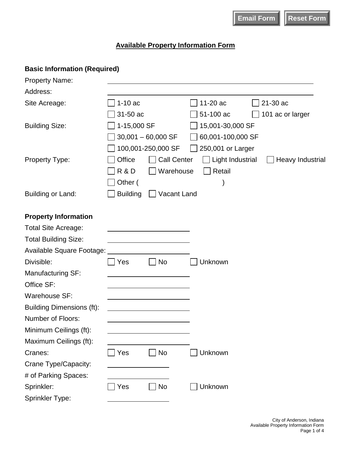## **Available Property Information Form**

| <b>Basic Information (Required)</b> |                 |                      |                   |                  |
|-------------------------------------|-----------------|----------------------|-------------------|------------------|
| <b>Property Name:</b>               |                 |                      |                   |                  |
| Address:                            |                 |                      |                   |                  |
| Site Acreage:                       | $1-10ac$        |                      | 11-20 ac          | 21-30 ac         |
|                                     | 31-50 ac        |                      | 51-100 ac         | 101 ac or larger |
| <b>Building Size:</b>               | 1-15,000 SF     |                      | 15,001-30,000 SF  |                  |
|                                     |                 | $30,001 - 60,000$ SF | 60,001-100,000 SF |                  |
|                                     |                 | 100,001-250,000 SF   | 250,001 or Larger |                  |
| <b>Property Type:</b>               | Office          | <b>Call Center</b>   | Light Industrial  | Heavy Industrial |
|                                     | R&D             | Warehouse            | Retail            |                  |
|                                     | Other (         |                      |                   |                  |
| Building or Land:                   | <b>Building</b> | Vacant Land          |                   |                  |
|                                     |                 |                      |                   |                  |
| <b>Property Information</b>         |                 |                      |                   |                  |
| <b>Total Site Acreage:</b>          |                 |                      |                   |                  |
| <b>Total Building Size:</b>         |                 |                      |                   |                  |
| Available Square Footage:           |                 |                      |                   |                  |
| Divisible:                          | Yes             | No                   | Unknown           |                  |
| Manufacturing SF:                   |                 |                      |                   |                  |
| Office SF:                          |                 |                      |                   |                  |
| Warehouse SF:                       |                 |                      |                   |                  |
| <b>Building Dimensions (ft):</b>    |                 |                      |                   |                  |
| <b>Number of Floors:</b>            |                 |                      |                   |                  |
| Minimum Ceilings (ft):              |                 |                      |                   |                  |
| Maximum Ceilings (ft):              |                 |                      |                   |                  |
| Cranes:                             | Yes             | <b>No</b>            | Unknown           |                  |
| Crane Type/Capacity:                |                 |                      |                   |                  |
| # of Parking Spaces:                |                 |                      |                   |                  |
| Sprinkler:                          | Yes             | <b>No</b>            | Unknown           |                  |
| Sprinkler Type:                     |                 |                      |                   |                  |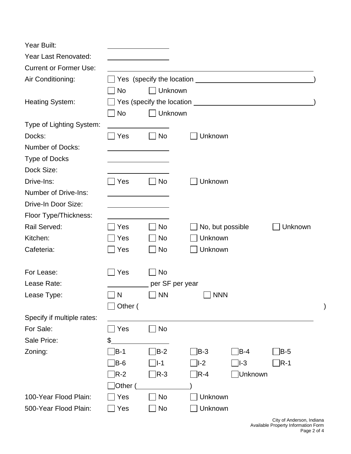| Year Built:                   |                                                  |                 |                           |                  |         |   |
|-------------------------------|--------------------------------------------------|-----------------|---------------------------|------------------|---------|---|
| <b>Year Last Renovated:</b>   |                                                  |                 |                           |                  |         |   |
| <b>Current or Former Use:</b> |                                                  |                 |                           |                  |         |   |
| Air Conditioning:             |                                                  |                 |                           |                  |         |   |
|                               | No                                               | Unknown         |                           |                  |         |   |
| <b>Heating System:</b>        | Yes (specify the location <u>example and</u> yes |                 |                           |                  |         |   |
|                               | No                                               | Unknown         |                           |                  |         |   |
| Type of Lighting System:      |                                                  |                 |                           |                  |         |   |
| Docks:                        | <b>Yes</b>                                       | <b>No</b>       | Unknown                   |                  |         |   |
| <b>Number of Docks:</b>       |                                                  |                 |                           |                  |         |   |
| Type of Docks                 |                                                  |                 |                           |                  |         |   |
| Dock Size:                    |                                                  |                 |                           |                  |         |   |
| Drive-Ins:                    | Yes                                              | <b>No</b>       | Unknown                   |                  |         |   |
| <b>Number of Drive-Ins:</b>   |                                                  |                 |                           |                  |         |   |
| Drive-In Door Size:           |                                                  |                 |                           |                  |         |   |
| Floor Type/Thickness:         |                                                  |                 |                           |                  |         |   |
| Rail Served:                  | Yes                                              | <b>No</b>       |                           | No, but possible | Unknown |   |
| Kitchen:                      | Yes                                              | <b>No</b>       | Unknown                   |                  |         |   |
| Cafeteria:                    | Yes                                              | <b>No</b>       | Unknown                   |                  |         |   |
|                               |                                                  |                 |                           |                  |         |   |
| For Lease:                    | Yes                                              | <b>No</b>       |                           |                  |         |   |
| Lease Rate:                   |                                                  | per SF per year |                           |                  |         |   |
| Lease Type:                   | N                                                | <b>NN</b>       |                           | <b>NNN</b>       |         |   |
|                               | Other (                                          |                 |                           |                  |         | ) |
| Specify if multiple rates:    |                                                  |                 |                           |                  |         |   |
| For Sale:                     | Yes                                              | No              |                           |                  |         |   |
| Sale Price:                   | \$                                               |                 |                           |                  |         |   |
| Zoning:                       | B-1                                              | $ B-2 $         | $ B-3 $                   | $B-4$            | $B-5$   |   |
|                               | B-6                                              | $ I-1 $         | $ I-2 $                   | I-3              | $R-1$   |   |
|                               | $R-2$                                            | JR-3            | $\overline{\mathsf{R-4}}$ | JUnknown         |         |   |
|                               | Other (                                          |                 |                           |                  |         |   |
| 100-Year Flood Plain:         | Yes                                              | No              | Unknown                   |                  |         |   |
| 500-Year Flood Plain:         | Yes                                              | No              | Unknown                   |                  |         |   |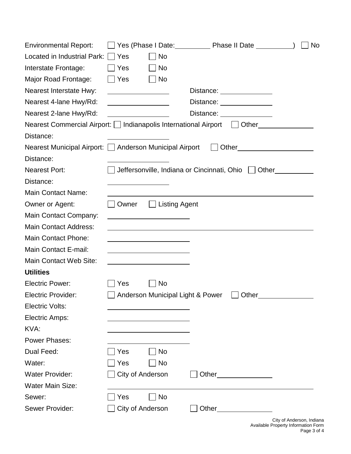| <b>Environmental Report:</b>                                               |                                         |                                  |       | │Yes (Phase I Date: │ │ │ │ │ │ Phase II Date │ │ │ │ │ │ │ │ │ │ │ │ │ │ │ │ │ | No |
|----------------------------------------------------------------------------|-----------------------------------------|----------------------------------|-------|---------------------------------------------------------------------------------|----|
| Located in Industrial Park:                                                | $ $ $ $ Yes                             | <b>No</b>                        |       |                                                                                 |    |
| Interstate Frontage:                                                       | <b>Pres</b>                             | No                               |       |                                                                                 |    |
| Major Road Frontage:                                                       | $\Box$ Yes                              | No                               |       |                                                                                 |    |
| Nearest Interstate Hwy:                                                    |                                         |                                  |       | Distance: _______________                                                       |    |
| Nearest 4-lane Hwy/Rd:                                                     | <u> 1989 - Johann Barbara, martxa a</u> |                                  |       | Distance: <u>________________</u>                                               |    |
| Nearest 2-lane Hwy/Rd:                                                     |                                         |                                  |       | Distance: <u>______________</u>                                                 |    |
| Nearest Commercial Airport:   Indianapolis International Airport     Other |                                         |                                  |       |                                                                                 |    |
| Distance:                                                                  |                                         |                                  |       |                                                                                 |    |
| Nearest Municipal Airport: □ Anderson Municipal Airport □ Other            |                                         |                                  |       |                                                                                 |    |
| Distance:                                                                  |                                         |                                  |       |                                                                                 |    |
| <b>Nearest Port:</b>                                                       |                                         |                                  |       | Jeffersonville, Indiana or Cincinnati, Ohio J Other                             |    |
| Distance:                                                                  |                                         |                                  |       |                                                                                 |    |
| <b>Main Contact Name:</b>                                                  |                                         |                                  |       |                                                                                 |    |
| Owner or Agent:                                                            | Owner                                   | $\Box$ Listing Agent             |       |                                                                                 |    |
| Main Contact Company:                                                      |                                         |                                  |       |                                                                                 |    |
| <b>Main Contact Address:</b>                                               |                                         |                                  |       |                                                                                 |    |
| <b>Main Contact Phone:</b>                                                 |                                         |                                  |       |                                                                                 |    |
| Main Contact E-mail:                                                       |                                         |                                  |       |                                                                                 |    |
| Main Contact Web Site:                                                     |                                         |                                  |       |                                                                                 |    |
| <b>Utilities</b>                                                           |                                         |                                  |       |                                                                                 |    |
| <b>Electric Power:</b>                                                     | Yes                                     | No                               |       |                                                                                 |    |
| <b>Electric Provider:</b>                                                  |                                         | Anderson Municipal Light & Power |       | Other                                                                           |    |
| <b>Electric Volts:</b>                                                     |                                         |                                  |       |                                                                                 |    |
| Electric Amps:                                                             |                                         |                                  |       |                                                                                 |    |
| KVA:                                                                       |                                         |                                  |       |                                                                                 |    |
| <b>Power Phases:</b>                                                       |                                         |                                  |       |                                                                                 |    |
| Dual Feed:                                                                 | Yes                                     | No                               |       |                                                                                 |    |
| Water:                                                                     | Yes                                     | No                               |       |                                                                                 |    |
| <b>Water Provider:</b>                                                     | City of Anderson                        |                                  | Other |                                                                                 |    |
| <b>Water Main Size:</b>                                                    |                                         |                                  |       |                                                                                 |    |
| Sewer:                                                                     | Yes                                     | <b>No</b>                        |       |                                                                                 |    |
| Sewer Provider:                                                            | City of Anderson                        |                                  | Other |                                                                                 |    |